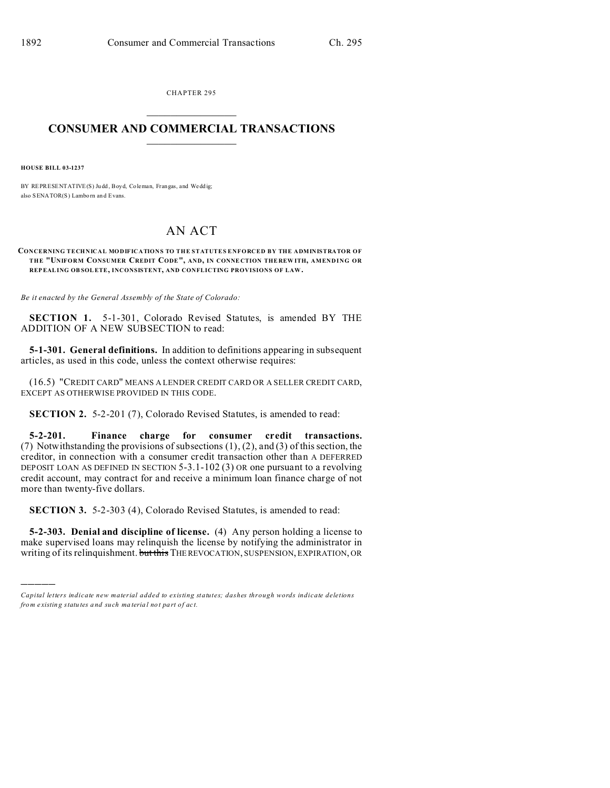CHAPTER 295  $\overline{\phantom{a}}$  , where  $\overline{\phantom{a}}$ 

## **CONSUMER AND COMMERCIAL TRANSACTIONS**  $\_$   $\_$   $\_$   $\_$   $\_$   $\_$   $\_$   $\_$

**HOUSE BILL 03-1237**

)))))

BY REPRESENTATIVE(S) Judd, Boyd, Coleman, Frangas, and Weddig; also SENATOR(S) Lamborn and Evans.

## AN ACT

**CONCERNING TECHNICAL MODIFICATIONS TO THE STATUTES ENFORCED BY THE ADMINISTRATOR OF THE "UNIFORM CONSUMER CREDIT CODE", AND, IN CONNE CTION THE REW ITH, AMENDING OR REPEALING OB SOLETE, INCONSISTENT, AND CONFLICTING PROVISIONS OF LAW.**

*Be it enacted by the General Assembly of the State of Colorado:*

**SECTION 1.** 5-1-301, Colorado Revised Statutes, is amended BY THE ADDITION OF A NEW SUBSECTION to read:

**5-1-301. General definitions.** In addition to definitions appearing in subsequent articles, as used in this code, unless the context otherwise requires:

(16.5) "CREDIT CARD" MEANS A LENDER CREDIT CARD OR A SELLER CREDIT CARD, EXCEPT AS OTHERWISE PROVIDED IN THIS CODE.

**SECTION 2.** 5-2-201 (7), Colorado Revised Statutes, is amended to read:

**5-2-201. Finance charge for consumer credit transactions.** (7) Notwithstanding the provisions of subsections (1), (2), and (3) of this section, the creditor, in connection with a consumer credit transaction other than A DEFERRED DEPOSIT LOAN AS DEFINED IN SECTION 5-3.1-102 (3) OR one pursuant to a revolving credit account, may contract for and receive a minimum loan finance charge of not more than twenty-five dollars.

**SECTION 3.** 5-2-303 (4), Colorado Revised Statutes, is amended to read:

**5-2-303. Denial and discipline of license.** (4) Any person holding a license to make supervised loans may relinquish the license by notifying the administrator in writing of its relinquishment. but this THE REVOCATION, SUSPENSION, EXPIRATION, OR

*Capital letters indicate new material added to existing statutes; dashes through words indicate deletions from e xistin g statu tes a nd such ma teria l no t pa rt of ac t.*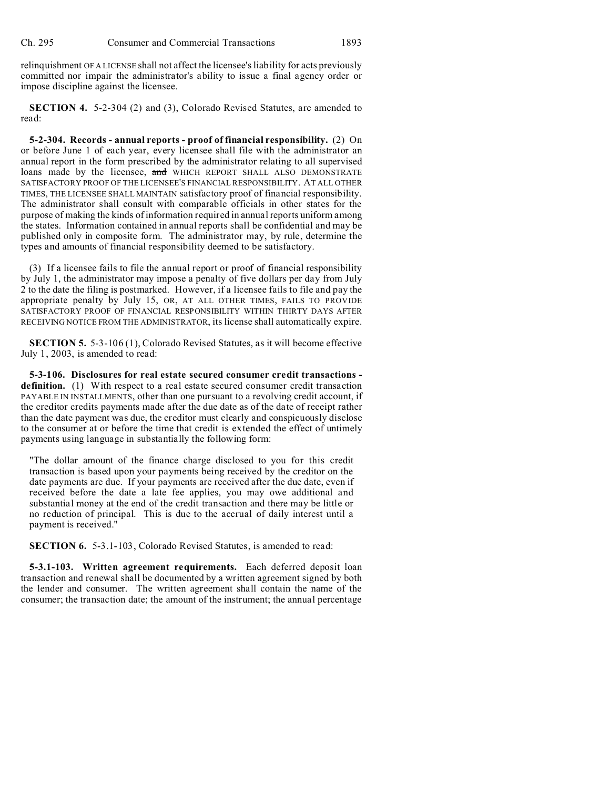relinquishment OF A LICENSE shall not affect the licensee's liability for acts previously committed nor impair the administrator's ability to issue a final agency order or impose discipline against the licensee.

**SECTION 4.** 5-2-304 (2) and (3), Colorado Revised Statutes, are amended to read:

**5-2-304. Records - annual reports - proof of financial responsibility.** (2) On or before June 1 of each year, every licensee shall file with the administrator an annual report in the form prescribed by the administrator relating to all supervised loans made by the licensee, and WHICH REPORT SHALL ALSO DEMONSTRATE SATISFACTORY PROOF OF THE LICENSEE'S FINANCIAL RESPONSIBILITY. AT ALL OTHER TIMES, THE LICENSEE SHALL MAINTAIN satisfactory proof of financial responsibility. The administrator shall consult with comparable officials in other states for the purpose of making the kinds of information required in annual reports uniform among the states. Information contained in annual reports shall be confidential and may be published only in composite form. The administrator may, by rule, determine the types and amounts of financial responsibility deemed to be satisfactory.

(3) If a licensee fails to file the annual report or proof of financial responsibility by July 1, the administrator may impose a penalty of five dollars per day from July 2 to the date the filing is postmarked. However, if a licensee fails to file and pay the appropriate penalty by July 15, OR, AT ALL OTHER TIMES, FAILS TO PROVIDE SATISFACTORY PROOF OF FINANCIAL RESPONSIBILITY WITHIN THIRTY DAYS AFTER RECEIVING NOTICE FROM THE ADMINISTRATOR, its license shall automatically expire.

**SECTION 5.** 5-3-106 (1), Colorado Revised Statutes, as it will become effective July 1, 2003, is amended to read:

**5-3-106. Disclosures for real estate secured consumer credit transactions definition.** (1) With respect to a real estate secured consumer credit transaction PAYABLE IN INSTALLMENTS, other than one pursuant to a revolving credit account, if the creditor credits payments made after the due date as of the date of receipt rather than the date payment was due, the creditor must clearly and conspicuously disclose to the consumer at or before the time that credit is extended the effect of untimely payments using language in substantially the following form:

"The dollar amount of the finance charge disclosed to you for this credit transaction is based upon your payments being received by the creditor on the date payments are due. If your payments are received after the due date, even if received before the date a late fee applies, you may owe additional and substantial money at the end of the credit transaction and there may be little or no reduction of principal. This is due to the accrual of daily interest until a payment is received."

**SECTION 6.** 5-3.1-103, Colorado Revised Statutes, is amended to read:

**5-3.1-103. Written agreement requirements.** Each deferred deposit loan transaction and renewal shall be documented by a written agreement signed by both the lender and consumer. The written agreement shall contain the name of the consumer; the transaction date; the amount of the instrument; the annual percentage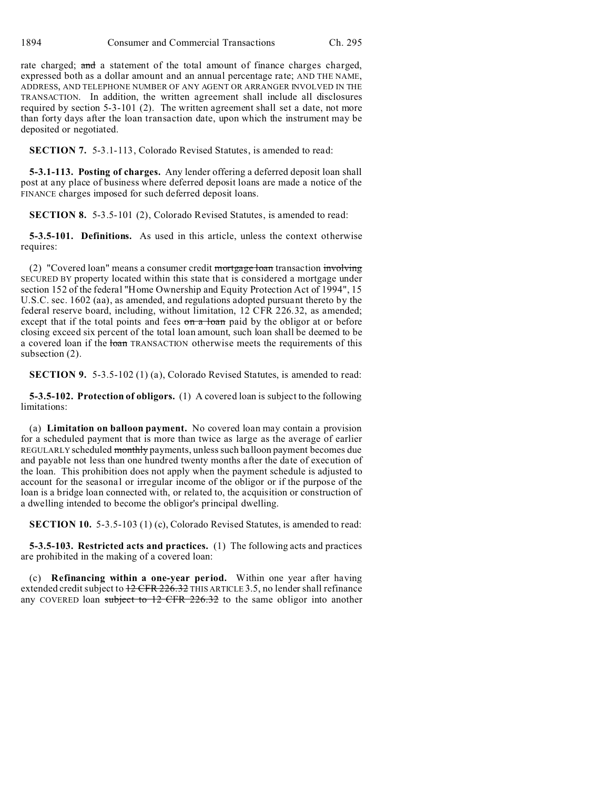rate charged; and a statement of the total amount of finance charges charged, expressed both as a dollar amount and an annual percentage rate; AND THE NAME, ADDRESS, AND TELEPHONE NUMBER OF ANY AGENT OR ARRANGER INVOLVED IN THE TRANSACTION. In addition, the written agreement shall include all disclosures required by section 5-3-101 (2). The written agreement shall set a date, not more than forty days after the loan transaction date, upon which the instrument may be deposited or negotiated.

**SECTION 7.** 5-3.1-113, Colorado Revised Statutes, is amended to read:

**5-3.1-113. Posting of charges.** Any lender offering a deferred deposit loan shall post at any place of business where deferred deposit loans are made a notice of the FINANCE charges imposed for such deferred deposit loans.

**SECTION 8.** 5-3.5-101 (2), Colorado Revised Statutes, is amended to read:

**5-3.5-101. Definitions.** As used in this article, unless the context otherwise requires:

(2) "Covered loan" means a consumer credit  $mortgage$  loan transaction  $imvolving$ SECURED BY property located within this state that is considered a mortgage under section 152 of the federal "Home Ownership and Equity Protection Act of 1994", 15 U.S.C. sec. 1602 (aa), as amended, and regulations adopted pursuant thereto by the federal reserve board, including, without limitation, 12 CFR 226.32, as amended; except that if the total points and fees  $\theta$  and  $\theta$  and  $\theta$  by the obligor at or before closing exceed six percent of the total loan amount, such loan shall be deemed to be a covered loan if the loan TRANSACTION otherwise meets the requirements of this subsection (2).

**SECTION 9.** 5-3.5-102 (1) (a), Colorado Revised Statutes, is amended to read:

**5-3.5-102. Protection of obligors.** (1) A covered loan is subject to the following limitations:

(a) **Limitation on balloon payment.** No covered loan may contain a provision for a scheduled payment that is more than twice as large as the average of earlier REGULARLY scheduled monthly payments, unless such balloon payment becomes due and payable not less than one hundred twenty months after the date of execution of the loan. This prohibition does not apply when the payment schedule is adjusted to account for the seasonal or irregular income of the obligor or if the purpose of the loan is a bridge loan connected with, or related to, the acquisition or construction of a dwelling intended to become the obligor's principal dwelling.

**SECTION 10.** 5-3.5-103 (1) (c), Colorado Revised Statutes, is amended to read:

**5-3.5-103. Restricted acts and practices.** (1) The following acts and practices are prohibited in the making of a covered loan:

(c) **Refinancing within a one-year period.** Within one year after having extended credit subject to  $12$  CFR 226.32 THIS ARTICLE 3.5, no lender shall refinance any COVERED loan subject to 12 CFR 226.32 to the same obligor into another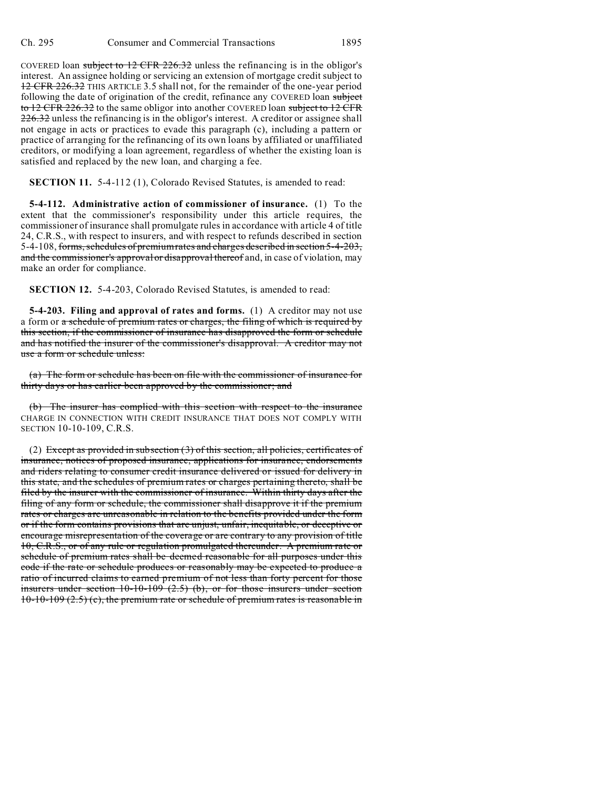COVERED loan subject to 12 CFR 226.32 unless the refinancing is in the obligor's interest. An assignee holding or servicing an extension of mortgage credit subject to 12 CFR 226.32 THIS ARTICLE 3.5 shall not, for the remainder of the one-year period following the date of origination of the credit, refinance any COVERED loan subject to 12 CFR 226.32 to the same obligor into another COVERED loan subject to 12 CFR 226.32 unless the refinancing is in the obligor's interest. A creditor or assignee shall not engage in acts or practices to evade this paragraph (c), including a pattern or practice of arranging for the refinancing of its own loans by affiliated or unaffiliated creditors, or modifying a loan agreement, regardless of whether the existing loan is satisfied and replaced by the new loan, and charging a fee.

**SECTION 11.** 5-4-112 (1), Colorado Revised Statutes, is amended to read:

**5-4-112. Administrative action of commissioner of insurance.** (1) To the extent that the commissioner's responsibility under this article requires, the commissioner of insurance shall promulgate rules in accordance with article 4 of title 24, C.R.S., with respect to insurers, and with respect to refunds described in section 5-4-108, forms, schedules of premium rates and charges described in section 5-4-203, and the commissioner's approval or disapproval thereof and, in case of violation, may make an order for compliance.

**SECTION 12.** 5-4-203, Colorado Revised Statutes, is amended to read:

**5-4-203. Filing and approval of rates and forms.** (1) A creditor may not use a form or a schedule of premium rates or charges, the filing of which is required by this section, if the commissioner of insurance has disapproved the form or schedule and has notified the insurer of the commissioner's disapproval. A creditor may not use a form or schedule unless:

(a) The form or schedule has been on file with the commissioner of insurance for thirty days or has earlier been approved by the commissioner; and

(b) The insurer has complied with this section with respect to the insurance CHARGE IN CONNECTION WITH CREDIT INSURANCE THAT DOES NOT COMPLY WITH SECTION 10-10-109, C.R.S.

(2) Except as provided in subsection  $(3)$  of this section, all policies, certificates of insurance, notices of proposed insurance, applications for insurance, endorsements and riders relating to consumer credit insurance delivered or issued for delivery in this state, and the schedules of premium rates or charges pertaining thereto, shall be filed by the insurer with the commissioner of insurance. Within thirty days after the filing of any form or schedule, the commissioner shall disapprove it if the premium rates or charges are unreasonable in relation to the benefits provided under the form or if the form contains provisions that are unjust, unfair, inequitable, or deceptive or encourage misrepresentation of the coverage or are contrary to any provision of title 10, C.R.S., or of any rule or regulation promulgated thereunder. A premium rate or schedule of premium rates shall be deemed reasonable for all purposes under this code if the rate or schedule produces or reasonably may be expected to produce a ratio of incurred claims to earned premium of not less than forty percent for those insurers under section  $10-10-109$   $(2.5)$  (b), or for those insurers under section  $10-10-109$  (2.5) (c), the premium rate or schedule of premium rates is reasonable in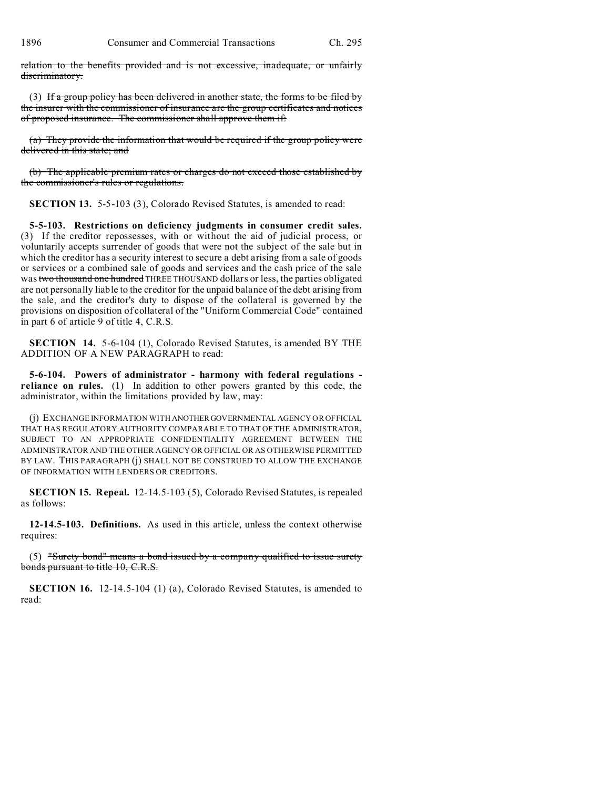relation to the benefits provided and is not excessive, inadequate, or unfairly discriminatory.

(3) If a group policy has been delivered in another state, the forms to be filed by the insurer with the commissioner of insurance are the group certificates and notices of proposed insurance. The commissioner shall approve them if:

(a) They provide the information that would be required if the group policy were delivered in this state; and

(b) The applicable premium rates or charges do not exceed those established by the commissioner's rules or regulations.

**SECTION 13.** 5-5-103 (3), Colorado Revised Statutes, is amended to read:

**5-5-103. Restrictions on deficiency judgments in consumer credit sales.** (3) If the creditor repossesses, with or without the aid of judicial process, or voluntarily accepts surrender of goods that were not the subject of the sale but in which the creditor has a security interest to secure a debt arising from a sale of goods or services or a combined sale of goods and services and the cash price of the sale was two thousand one hundred THREE THOUSAND dollars or less, the parties obligated are not personally liable to the creditor for the unpaid balance of the debt arising from the sale, and the creditor's duty to dispose of the collateral is governed by the provisions on disposition of collateral of the "Uniform Commercial Code" contained in part 6 of article 9 of title 4, C.R.S.

**SECTION 14.** 5-6-104 (1), Colorado Revised Statutes, is amended BY THE ADDITION OF A NEW PARAGRAPH to read:

**5-6-104. Powers of administrator - harmony with federal regulations reliance on rules.** (1) In addition to other powers granted by this code, the administrator, within the limitations provided by law, may:

(j) EXCHANGE INFORMATION WITH ANOTHERGOVERNMENTAL AGENCY OR OFFICIAL THAT HAS REGULATORY AUTHORITY COMPARABLE TO THAT OF THE ADMINISTRATOR, SUBJECT TO AN APPROPRIATE CONFIDENTIALITY AGREEMENT BETWEEN THE ADMINISTRATOR AND THE OTHER AGENCY OR OFFICIAL OR AS OTHERWISE PERMITTED BY LAW. THIS PARAGRAPH (j) SHALL NOT BE CONSTRUED TO ALLOW THE EXCHANGE OF INFORMATION WITH LENDERS OR CREDITORS.

**SECTION 15. Repeal.** 12-14.5-103 (5), Colorado Revised Statutes, is repealed as follows:

**12-14.5-103. Definitions.** As used in this article, unless the context otherwise requires:

 $(5)$  "Surety bond" means a bond issued by a company qualified to issue surety bonds pursuant to title 10, C.R.S.

**SECTION 16.** 12-14.5-104 (1) (a), Colorado Revised Statutes, is amended to read: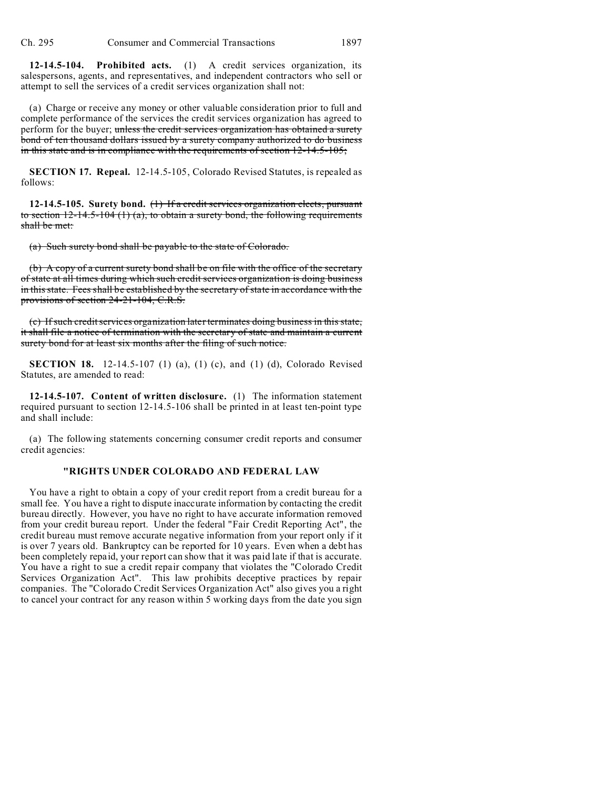**12-14.5-104. Prohibited acts.** (1) A credit services organization, its salespersons, agents, and representatives, and independent contractors who sell or attempt to sell the services of a credit services organization shall not:

(a) Charge or receive any money or other valuable consideration prior to full and complete performance of the services the credit services organization has agreed to perform for the buyer; unless the credit services organization has obtained a surety bond of ten thousand dollars issued by a surety company authorized to do business in this state and is in compliance with the requirements of section 12-14.5-105;

**SECTION 17. Repeal.** 12-14.5-105, Colorado Revised Statutes, is repealed as follows:

**12-14.5-105. Surety bond.** (1) If a credit services organization elects, pursuant to section  $12-14.5-104$  (1) (a), to obtain a surety bond, the following requirements shall be met:

(a) Such surety bond shall be payable to the state of Colorado.

(b) A copy of a current surety bond shall be on file with the office of the secretary of state at all times during which such credit services organization is doing business in this state. Fees shall be established by the secretary of state in accordance with the provisions of section 24-21-104, C.R.S.

(c) If such credit services organization later terminates doing business in this state, it shall file a notice of termination with the secretary of state and maintain a current surety bond for at least six months after the filing of such notice.

**SECTION 18.** 12-14.5-107 (1) (a), (1) (c), and (1) (d), Colorado Revised Statutes, are amended to read:

**12-14.5-107. Content of written disclosure.** (1) The information statement required pursuant to section 12-14.5-106 shall be printed in at least ten-point type and shall include:

(a) The following statements concerning consumer credit reports and consumer credit agencies:

## **"RIGHTS UNDER COLORADO AND FEDERAL LAW**

You have a right to obtain a copy of your credit report from a credit bureau for a small fee. You have a right to dispute inaccurate information by contacting the credit bureau directly. However, you have no right to have accurate information removed from your credit bureau report. Under the federal "Fair Credit Reporting Act", the credit bureau must remove accurate negative information from your report only if it is over 7 years old. Bankruptcy can be reported for 10 years. Even when a debt has been completely repaid, your report can show that it was paid late if that is accurate. You have a right to sue a credit repair company that violates the "Colorado Credit Services Organization Act". This law prohibits deceptive practices by repair companies. The "Colorado Credit Services Organization Act" also gives you a right to cancel your contract for any reason within 5 working days from the date you sign